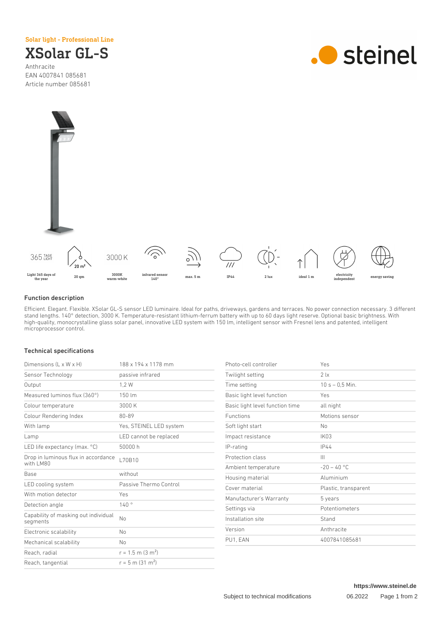## Solar light - Professional Line

XSolar GL-S Anthracite EAN 4007841 085681

Article number 085681





## Function description

Efficient. Elegant. Flexible. XSolar GL-S sensor LED luminaire. Ideal for paths, driveways, gardens and terraces. No power connection necessary. 3 different stand lengths. 140° detection, 3000 K. Temperature-resistant lithium-ferrum battery with up to 60 days light reserve. Optional basic brightness. With high-quality, monocrystalline glass solar panel, innovative LED system with 150 lm, intelligent sensor with Fresnel lens and patented, intelligent microprocessor control.

## Technical specifications

| 188 x 194 x 1178 mm             |
|---------------------------------|
| passive infrared                |
| 1.2W                            |
| 150 lm                          |
| 3000 K                          |
| 80-89                           |
| Yes, STEINEL LED system         |
| LED cannot be replaced          |
| 50000 h                         |
| L70B10                          |
| without                         |
| Passive Thermo Control          |
| Yes                             |
| 140°                            |
| No                              |
| No                              |
| No                              |
| $r = 1.5$ m (3 m <sup>2</sup> ) |
| $r = 5$ m (31 m <sup>2</sup> )  |
|                                 |

| Yes                  |
|----------------------|
| 21x                  |
| $10 s - 0.5 Min.$    |
| Yes                  |
| all night            |
| Motions sensor       |
| No                   |
| <b>IK03</b>          |
| IP44                 |
| Ш                    |
| $-20 - 40$ °C        |
| Aluminium            |
| Plastic, transparent |
| 5 years              |
| Potentiometers       |
| Stand                |
| Anthracite           |
| 4007841085681        |
|                      |